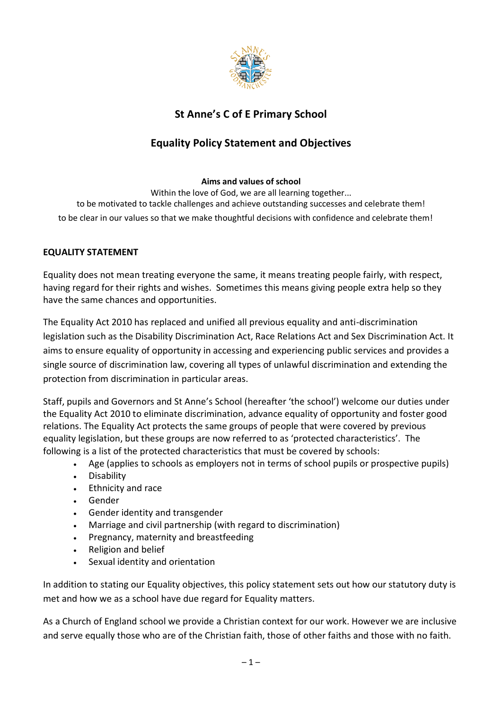

# **St Anne's C of E Primary School**

# **Equality Policy Statement and Objectives**

#### **Aims and values of school**

Within the love of God, we are all learning together... to be motivated to tackle challenges and achieve outstanding successes and celebrate them! to be clear in our values so that we make thoughtful decisions with confidence and celebrate them!

### **EQUALITY STATEMENT**

Equality does not mean treating everyone the same, it means treating people fairly, with respect, having regard for their rights and wishes. Sometimes this means giving people extra help so they have the same chances and opportunities.

The Equality Act 2010 has replaced and unified all previous equality and anti-discrimination legislation such as the Disability Discrimination Act, Race Relations Act and Sex Discrimination Act. It aims to ensure equality of opportunity in accessing and experiencing public services and provides a single source of discrimination law, covering all types of unlawful discrimination and extending the protection from discrimination in particular areas.

Staff, pupils and Governors and St Anne's School (hereafter 'the school') welcome our duties under the Equality Act 2010 to eliminate discrimination, advance equality of opportunity and foster good relations. The Equality Act protects the same groups of people that were covered by previous equality legislation, but these groups are now referred to as 'protected characteristics'. The following is a list of the protected characteristics that must be covered by schools:

- Age (applies to schools as employers not in terms of school pupils or prospective pupils)
- Disability
- Ethnicity and race
- Gender
- Gender identity and transgender
- Marriage and civil partnership (with regard to discrimination)
- Pregnancy, maternity and breastfeeding
- Religion and belief
- Sexual identity and orientation

In addition to stating our Equality objectives, this policy statement sets out how our statutory duty is met and how we as a school have due regard for Equality matters.

As a Church of England school we provide a Christian context for our work. However we are inclusive and serve equally those who are of the Christian faith, those of other faiths and those with no faith.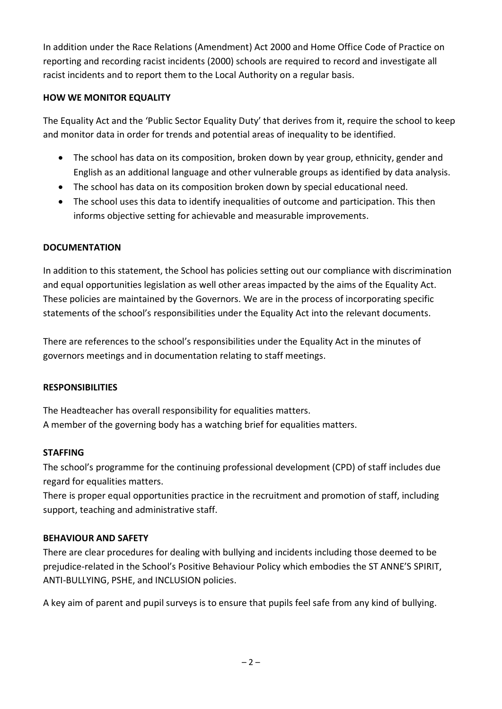In addition under the Race Relations (Amendment) Act 2000 and Home Office Code of Practice on reporting and recording racist incidents (2000) schools are required to record and investigate all racist incidents and to report them to the Local Authority on a regular basis.

## **HOW WE MONITOR EQUALITY**

The Equality Act and the 'Public Sector Equality Duty' that derives from it, require the school to keep and monitor data in order for trends and potential areas of inequality to be identified.

- The school has data on its composition, broken down by year group, ethnicity, gender and English as an additional language and other vulnerable groups as identified by data analysis.
- The school has data on its composition broken down by special educational need.
- The school uses this data to identify inequalities of outcome and participation. This then informs objective setting for achievable and measurable improvements.

## **DOCUMENTATION**

In addition to this statement, the School has policies setting out our compliance with discrimination and equal opportunities legislation as well other areas impacted by the aims of the Equality Act. These policies are maintained by the Governors. We are in the process of incorporating specific statements of the school's responsibilities under the Equality Act into the relevant documents.

There are references to the school's responsibilities under the Equality Act in the minutes of governors meetings and in documentation relating to staff meetings.

# **RESPONSIBILITIES**

The Headteacher has overall responsibility for equalities matters. A member of the governing body has a watching brief for equalities matters.

### **STAFFING**

The school's programme for the continuing professional development (CPD) of staff includes due regard for equalities matters.

There is proper equal opportunities practice in the recruitment and promotion of staff, including support, teaching and administrative staff.

# **BEHAVIOUR AND SAFETY**

There are clear procedures for dealing with bullying and incidents including those deemed to be prejudice-related in the School's Positive Behaviour Policy which embodies the ST ANNE'S SPIRIT, ANTI-BULLYING, PSHE, and INCLUSION policies.

A key aim of parent and pupil surveys is to ensure that pupils feel safe from any kind of bullying.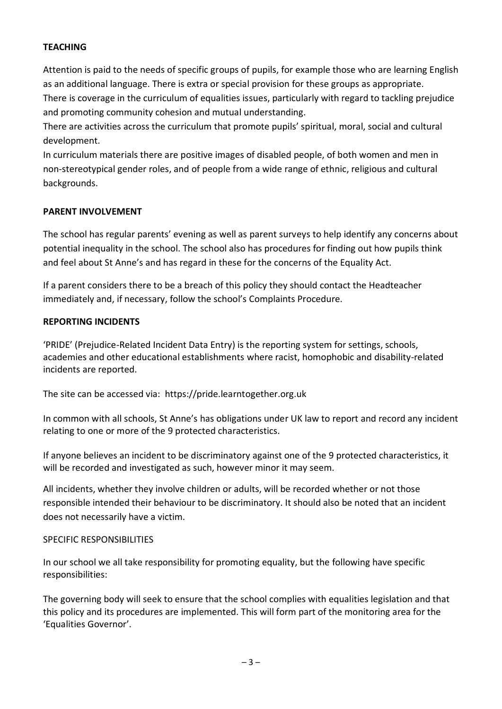## **TEACHING**

Attention is paid to the needs of specific groups of pupils, for example those who are learning English as an additional language. There is extra or special provision for these groups as appropriate. There is coverage in the curriculum of equalities issues, particularly with regard to tackling prejudice and promoting community cohesion and mutual understanding.

There are activities across the curriculum that promote pupils' spiritual, moral, social and cultural development.

In curriculum materials there are positive images of disabled people, of both women and men in non-stereotypical gender roles, and of people from a wide range of ethnic, religious and cultural backgrounds.

### **PARENT INVOLVEMENT**

The school has regular parents' evening as well as parent surveys to help identify any concerns about potential inequality in the school. The school also has procedures for finding out how pupils think and feel about St Anne's and has regard in these for the concerns of the Equality Act.

If a parent considers there to be a breach of this policy they should contact the Headteacher immediately and, if necessary, follow the school's Complaints Procedure.

#### **REPORTING INCIDENTS**

'PRIDE' (Prejudice-Related Incident Data Entry) is the reporting system for settings, schools, academies and other educational establishments where racist, homophobic and disability-related incidents are reported.

The site can be accessed via: [https://pride.learntogether.org.uk](https://pride.learntogether.org.uk/) 

In common with all schools, St Anne's has obligations under UK law to report and record any incident relating to one or more of the 9 protected characteristics.

If anyone believes an incident to be discriminatory against one of the 9 protected characteristics, it will be recorded and investigated as such, however minor it may seem.

All incidents, whether they involve children or adults, will be recorded whether or not those responsible intended their behaviour to be discriminatory. It should also be noted that an incident does not necessarily have a victim.

#### SPECIFIC RESPONSIBILITIES

In our school we all take responsibility for promoting equality, but the following have specific responsibilities:

The governing body will seek to ensure that the school complies with equalities legislation and that this policy and its procedures are implemented. This will form part of the monitoring area for the 'Equalities Governor'.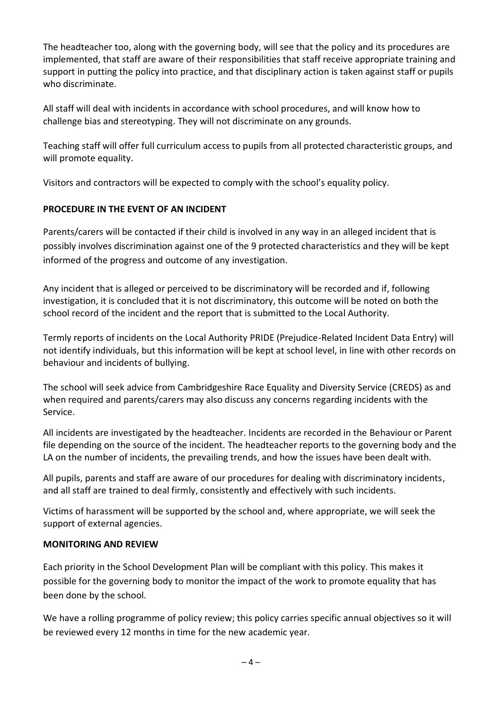The headteacher too, along with the governing body, will see that the policy and its procedures are implemented, that staff are aware of their responsibilities that staff receive appropriate training and support in putting the policy into practice, and that disciplinary action is taken against staff or pupils who discriminate.

All staff will deal with incidents in accordance with school procedures, and will know how to challenge bias and stereotyping. They will not discriminate on any grounds.

Teaching staff will offer full curriculum access to pupils from all protected characteristic groups, and will promote equality.

Visitors and contractors will be expected to comply with the school's equality policy.

# **PROCEDURE IN THE EVENT OF AN INCIDENT**

Parents/carers will be contacted if their child is involved in any way in an alleged incident that is possibly involves discrimination against one of the 9 protected characteristics and they will be kept informed of the progress and outcome of any investigation.

Any incident that is alleged or perceived to be discriminatory will be recorded and if, following investigation, it is concluded that it is not discriminatory, this outcome will be noted on both the school record of the incident and the report that is submitted to the Local Authority.

Termly reports of incidents on the Local Authority PRIDE (Prejudice-Related Incident Data Entry) will not identify individuals, but this information will be kept at school level, in line with other records on behaviour and incidents of bullying.

The school will seek advice from Cambridgeshire Race Equality and Diversity Service (CREDS) as and when required and parents/carers may also discuss any concerns regarding incidents with the Service.

All incidents are investigated by the headteacher. Incidents are recorded in the Behaviour or Parent file depending on the source of the incident. The headteacher reports to the governing body and the LA on the number of incidents, the prevailing trends, and how the issues have been dealt with.

All pupils, parents and staff are aware of our procedures for dealing with discriminatory incidents, and all staff are trained to deal firmly, consistently and effectively with such incidents.

Victims of harassment will be supported by the school and, where appropriate, we will seek the support of external agencies.

# **MONITORING AND REVIEW**

Each priority in the School Development Plan will be compliant with this policy. This makes it possible for the governing body to monitor the impact of the work to promote equality that has been done by the school.

We have a rolling programme of policy review; this policy carries specific annual objectives so it will be reviewed every 12 months in time for the new academic year.